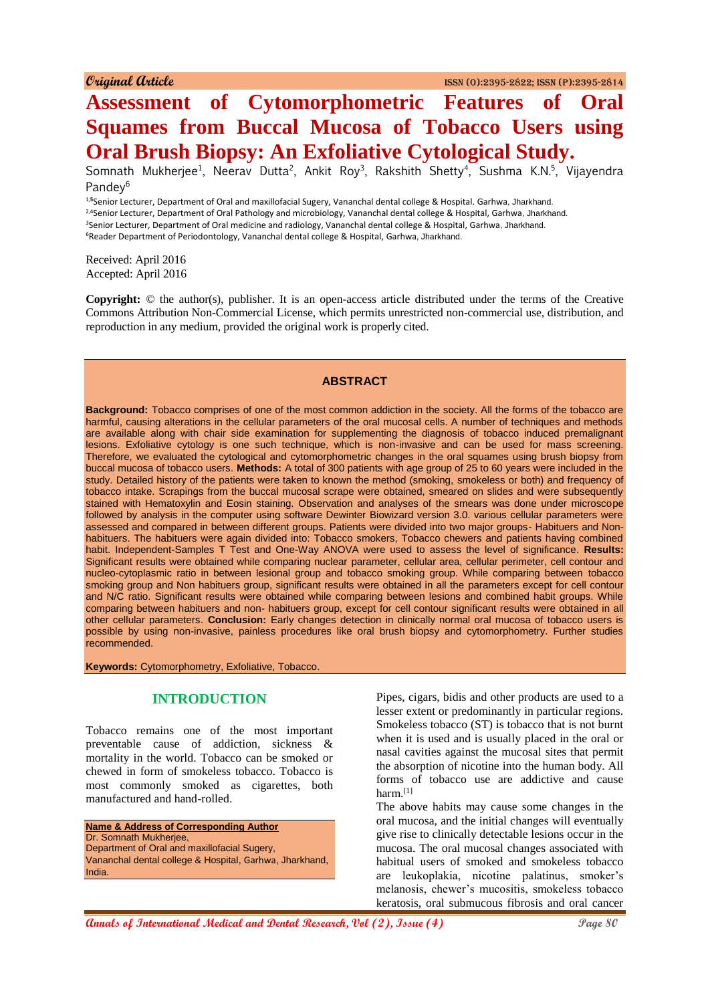# **Assessment of Cytomorphometric Features of Oral Squames from Buccal Mucosa of Tobacco Users using Oral Brush Biopsy: An Exfoliative Cytological Study.**

Somnath Mukherjee<sup>1</sup>, Neerav Dutta<sup>2</sup>, Ankit Roy<sup>3</sup>, Rakshith Shetty<sup>4</sup>, Sushma K.N.<sup>5</sup>, Vijayendra Pandev<sup>6</sup>

1,**<sup>5</sup>**Senior Lecturer, Department of Oral and maxillofacial Sugery, Vananchal dental college & Hospital. Garhwa, Jharkhand. <sup>2,4</sup>Senior Lecturer, Department of Oral Pathology and microbiology, Vananchal dental college & Hospital, Garhwa, Jharkhand. <sup>3</sup>Senior Lecturer, Department of Oral medicine and radiology, Vananchal dental college & Hospital, Garhwa, Jharkhand. <sup>6</sup>Reader Department of Periodontology, Vananchal dental college & Hospital, Garhwa, Jharkhand.

Received: April 2016 Accepted: April 2016

**Copyright:** © the author(s), publisher. It is an open-access article distributed under the terms of the Creative Commons Attribution Non-Commercial License, which permits unrestricted non-commercial use, distribution, and reproduction in any medium, provided the original work is properly cited.

## **ABSTRACT**

**Background:** Tobacco comprises of one of the most common addiction in the society. All the forms of the tobacco are harmful, causing alterations in the cellular parameters of the oral mucosal cells. A number of techniques and methods are available along with chair side examination for supplementing the diagnosis of tobacco induced premalignant lesions. Exfoliative cytology is one such technique, which is non-invasive and can be used for mass screening. Therefore, we evaluated the cytological and cytomorphometric changes in the oral squames using brush biopsy from buccal mucosa of tobacco users. **Methods:** A total of 300 patients with age group of 25 to 60 years were included in the study. Detailed history of the patients were taken to known the method (smoking, smokeless or both) and frequency of tobacco intake. Scrapings from the buccal mucosal scrape were obtained, smeared on slides and were subsequently stained with Hematoxylin and Eosin staining. Observation and analyses of the smears was done under microscope followed by analysis in the computer using software Dewinter Biowizard version 3.0. various cellular parameters were assessed and compared in between different groups. Patients were divided into two major groups- Habituers and Nonhabituers. The habituers were again divided into: Tobacco smokers, Tobacco chewers and patients having combined habit. Independent-Samples T Test and One-Way ANOVA were used to assess the level of significance. **Results:**  Significant results were obtained while comparing nuclear parameter, cellular area, cellular perimeter, cell contour and nucleo-cytoplasmic ratio in between lesional group and tobacco smoking group. While comparing between tobacco smoking group and Non habituers group, significant results were obtained in all the parameters except for cell contour and N/C ratio. Significant results were obtained while comparing between lesions and combined habit groups. While comparing between habituers and non- habituers group, except for cell contour significant results were obtained in all other cellular parameters. **Conclusion:** Early changes detection in clinically normal oral mucosa of tobacco users is possible by using non-invasive, painless procedures like oral brush biopsy and cytomorphometry. Further studies recommended.

**Keywords:** Cytomorphometry, Exfoliative, Tobacco.

## **INTRODUCTION**

Tobacco remains one of the most important preventable cause of addiction, sickness & mortality in the world. Tobacco can be smoked or chewed in form of smokeless tobacco. Tobacco is most commonly smoked as cigarettes, both manufactured and hand-rolled.

**Name & Address of Corresponding Author** Dr. Somnath Mukherjee, Department of Oral and maxillofacial Sugery, Vananchal dental college & Hospital, Garhwa, Jharkhand, India.

Pipes, cigars, bidis and other products are used to a lesser extent or predominantly in particular regions. Smokeless tobacco (ST) is tobacco that is not burnt when it is used and is usually placed in the oral or nasal cavities against the mucosal sites that permit the absorption of nicotine into the human body. All forms of tobacco use are addictive and cause harm. $[1]$ 

The above habits may cause some changes in the oral mucosa, and the initial changes will eventually give rise to clinically detectable lesions occur in the mucosa. The oral mucosal changes associated with habitual users of smoked and smokeless tobacco are leukoplakia, nicotine palatinus, smoker's melanosis, chewer's mucositis, smokeless tobacco keratosis, oral submucous fibrosis and oral cancer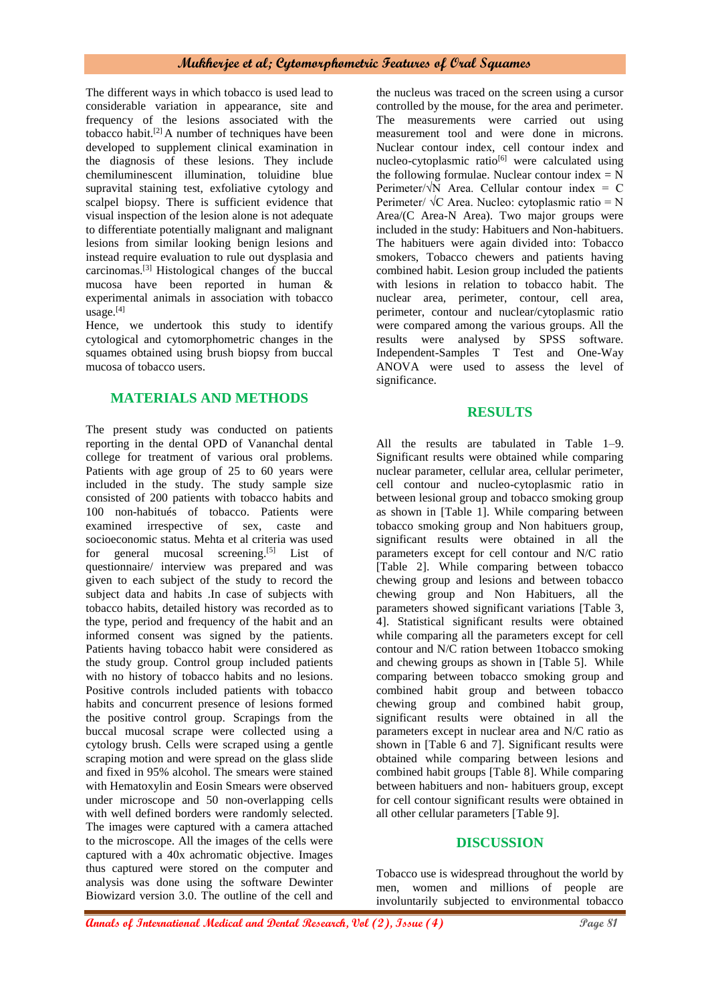The different ways in which tobacco is used lead to considerable variation in appearance, site and frequency of the lesions associated with the tobacco habit.[2] A number of techniques have been developed to supplement clinical examination in the diagnosis of these lesions. They include chemiluminescent illumination, toluidine blue supravital staining test, exfoliative cytology and scalpel biopsy. There is sufficient evidence that visual inspection of the lesion alone is not adequate to differentiate potentially malignant and malignant lesions from similar looking benign lesions and instead require evaluation to rule out dysplasia and carcinomas.[3] Histological changes of the buccal mucosa have been reported in human & experimental animals in association with tobacco usage.[4]

Hence, we undertook this study to identify cytological and cytomorphometric changes in the squames obtained using brush biopsy from buccal mucosa of tobacco users.

## **MATERIALS AND METHODS**

The present study was conducted on patients reporting in the dental OPD of Vananchal dental college for treatment of various oral problems. Patients with age group of 25 to 60 years were included in the study. The study sample size consisted of 200 patients with tobacco habits and 100 non-habitués of tobacco. Patients were examined irrespective of sex, caste and socioeconomic status. Mehta et al criteria was used for general mucosal screening.<sup>[5]</sup> List of questionnaire/ interview was prepared and was given to each subject of the study to record the subject data and habits .In case of subjects with tobacco habits, detailed history was recorded as to the type, period and frequency of the habit and an informed consent was signed by the patients. Patients having tobacco habit were considered as the study group. Control group included patients with no history of tobacco habits and no lesions. Positive controls included patients with tobacco habits and concurrent presence of lesions formed the positive control group. Scrapings from the buccal mucosal scrape were collected using a cytology brush. Cells were scraped using a gentle scraping motion and were spread on the glass slide and fixed in 95% alcohol. The smears were stained with Hematoxylin and Eosin Smears were observed under microscope and 50 non-overlapping cells with well defined borders were randomly selected. The images were captured with a camera attached to the microscope. All the images of the cells were captured with a 40x achromatic objective. Images thus captured were stored on the computer and analysis was done using the software Dewinter Biowizard version 3.0. The outline of the cell and

the nucleus was traced on the screen using a cursor controlled by the mouse, for the area and perimeter. The measurements were carried out using measurement tool and were done in microns. Nuclear contour index, cell contour index and nucleo-cytoplasmic ratio<sup>[6]</sup> were calculated using the following formulae. Nuclear contour index  $= N$ Perimeter/ $\sqrt{N}$  Area. Cellular contour index = C Perimeter/  $\sqrt{C}$  Area. Nucleo: cytoplasmic ratio = N Area/(C Area-N Area). Two major groups were included in the study: Habituers and Non-habituers. The habituers were again divided into: Tobacco smokers, Tobacco chewers and patients having combined habit. Lesion group included the patients with lesions in relation to tobacco habit. The nuclear area, perimeter, contour, cell area, perimeter, contour and nuclear/cytoplasmic ratio were compared among the various groups. All the results were analysed by SPSS software. Independent-Samples T Test and One-Way ANOVA were used to assess the level of significance.

#### **RESULTS**

All the results are tabulated in Table 1–9. Significant results were obtained while comparing nuclear parameter, cellular area, cellular perimeter, cell contour and nucleo-cytoplasmic ratio in between lesional group and tobacco smoking group as shown in [Table 1]. While comparing between tobacco smoking group and Non habituers group, significant results were obtained in all the parameters except for cell contour and N/C ratio [Table 2]. While comparing between tobacco chewing group and lesions and between tobacco chewing group and Non Habituers, all the parameters showed significant variations [Table 3, 4]. Statistical significant results were obtained while comparing all the parameters except for cell contour and N/C ration between 1tobacco smoking and chewing groups as shown in [Table 5]. While comparing between tobacco smoking group and combined habit group and between tobacco chewing group and combined habit group, significant results were obtained in all the parameters except in nuclear area and N/C ratio as shown in [Table 6 and 7]. Significant results were obtained while comparing between lesions and combined habit groups [Table 8]. While comparing between habituers and non- habituers group, except for cell contour significant results were obtained in all other cellular parameters [Table 9].

## **DISCUSSION**

Tobacco use is widespread throughout the world by men, women and millions of people are involuntarily subjected to environmental tobacco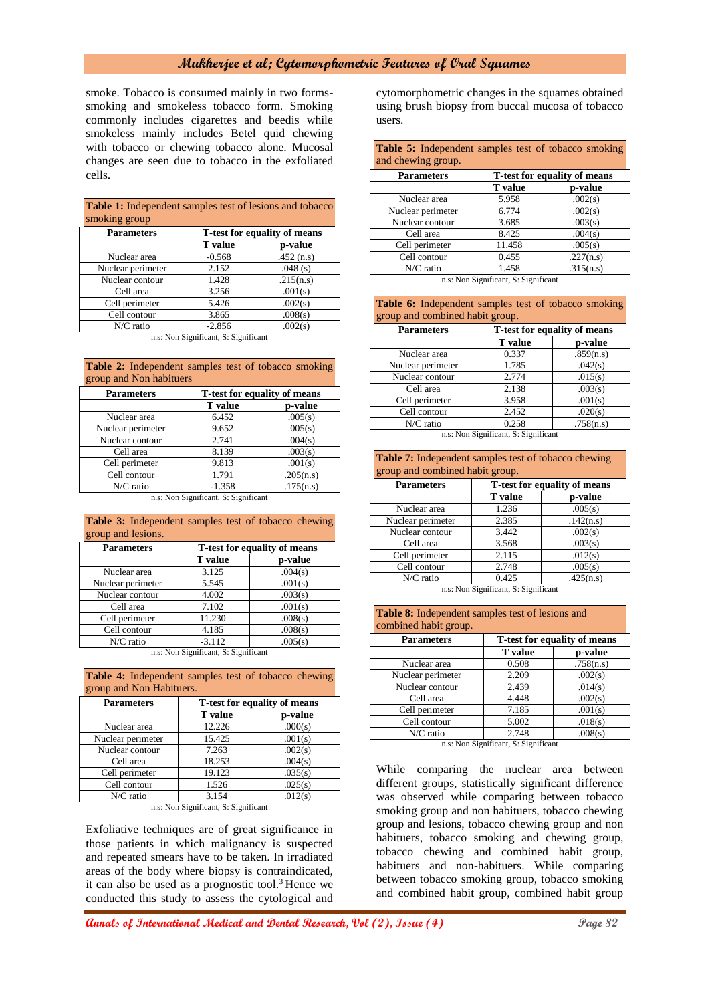smoke. Tobacco is consumed mainly in two formssmoking and smokeless tobacco form. Smoking commonly includes cigarettes and beedis while smokeless mainly includes Betel quid chewing with tobacco or chewing tobacco alone. Mucosal changes are seen due to tobacco in the exfoliated cells.

| <b>Table 1.</b> Independent samples lest of resions and tobacco |                |           |  |  |
|-----------------------------------------------------------------|----------------|-----------|--|--|
| smoking group                                                   |                |           |  |  |
| T-test for equality of means<br><b>Parameters</b>               |                |           |  |  |
|                                                                 | <b>T</b> value | p-value   |  |  |
| Nuclear area                                                    | $-0.568$       | .452(n.s) |  |  |
| Nuclear perimeter                                               | 2.152          | .048(s)   |  |  |
| Nuclear contour                                                 | 1.428          | .215(n.s) |  |  |
| Cell area                                                       | 3.256          | .001(s)   |  |  |
| Cell perimeter                                                  | 5.426          | .002(s)   |  |  |
| Cell contour                                                    | 3.865          | .008(s)   |  |  |
| N/C ratio                                                       | $-2.856$       | .002(s)   |  |  |
| and Mark Clear County Collections                               |                |           |  |  |

**Table 1:** Independent samples test of lesions and tobacco

n.s: Non Significant, S: Significant

| <b>Table 2:</b> Independent samples test of tobacco smoking<br>group and Non habituers |                              |           |  |
|----------------------------------------------------------------------------------------|------------------------------|-----------|--|
| <b>Parameters</b>                                                                      | T-test for equality of means |           |  |
|                                                                                        | <b>T</b> value               | p-value   |  |
| Nuclear area                                                                           | 6.452                        | .005(s)   |  |
| Nuclear perimeter                                                                      | 9.652                        | .005(s)   |  |
| Nuclear contour                                                                        | 2.741                        | .004(s)   |  |
| Cell area                                                                              | 8.139                        | .003(s)   |  |
| Cell perimeter                                                                         | 9.813                        | .001(s)   |  |
| Cell contour                                                                           | 1.791                        | .205(n.s) |  |
| N/C ratio                                                                              | $-1.358$                     | .175(n.s) |  |

n.s: Non Significant, S: Significant

**Table 3:** Independent samples test of tobacco chewing group and lesions.

| <b>Parameters</b> | <b>T-test for equality of means</b> |         |  |
|-------------------|-------------------------------------|---------|--|
|                   | <b>T</b> value                      | p-value |  |
| Nuclear area      | 3.125                               | .004(s) |  |
| Nuclear perimeter | 5.545                               | .001(s) |  |
| Nuclear contour   | 4.002                               | .003(s) |  |
| Cell area         | 7.102                               | .001(s) |  |
| Cell perimeter    | 11.230                              | .008(s) |  |
| Cell contour      | 4.185                               | .008(s) |  |
| N/C ratio         | $-3.112$                            | .005(s) |  |

n.s: Non Significant, S: Significant

**Table 4:** Independent samples test of tobacco chewing group and Non Habituers.

| <b>Parameters</b> | <b>T-test for equality of means</b> |         |  |
|-------------------|-------------------------------------|---------|--|
|                   | <b>T</b> value                      | p-value |  |
| Nuclear area      | 12.226                              | .000(s) |  |
| Nuclear perimeter | 15.425                              | .001(s) |  |
| Nuclear contour   | 7.263                               | .002(s) |  |
| Cell area         | 18.253                              | .004(s) |  |
| Cell perimeter    | 19.123                              | .035(s) |  |
| Cell contour      | 1.526                               | .025(s) |  |
| $N/C$ ratio       | 3.154                               | .012(s) |  |

n.s: Non Significant, S: Significant

Exfoliative techniques are of great significance in those patients in which malignancy is suspected and repeated smears have to be taken. In irradiated areas of the body where biopsy is contraindicated, it can also be used as a prognostic tool.<sup>3</sup> Hence we conducted this study to assess the cytological and

cytomorphometric changes in the squames obtained using brush biopsy from buccal mucosa of tobacco users.

**Table 5:** Independent samples test of tobacco smoking and chewing group.

| <b>Parameters</b> | T-test for equality of means |           |  |  |
|-------------------|------------------------------|-----------|--|--|
|                   | <b>T</b> value               | p-value   |  |  |
| Nuclear area      | 5.958                        | .002(s)   |  |  |
| Nuclear perimeter | 6.774                        | .002(s)   |  |  |
| Nuclear contour   | 3.685                        | .003(s)   |  |  |
| Cell area         | 8.425                        | .004(s)   |  |  |
| Cell perimeter    | 11.458                       | .005(s)   |  |  |
| Cell contour      | 0.455                        | .227(n.s) |  |  |
| N/C ratio         | 1.458                        | .315(n.s) |  |  |

n.s: Non Significant, S: Significant

|  | <b>Table 6:</b> Independent samples test of tobacco smoking |  |  |  |
|--|-------------------------------------------------------------|--|--|--|
|  | group and combined habit group.                             |  |  |  |

| <b>Parameters</b> | T-test for equality of means |           |  |  |
|-------------------|------------------------------|-----------|--|--|
|                   | <b>T</b> value               | p-value   |  |  |
| Nuclear area      | 0.337                        | .859(n.s) |  |  |
| Nuclear perimeter | 1.785                        | .042(s)   |  |  |
| Nuclear contour   | 2.774                        | .015(s)   |  |  |
| Cell area         | 2.138                        | .003(s)   |  |  |
| Cell perimeter    | 3.958                        | .001(s)   |  |  |
| Cell contour      | 2.452                        | .020(s)   |  |  |
| $N/C$ ratio       | 0.258                        | .758(n.s) |  |  |

n.s: Non Significant, S: Significant

| <b>Table 7:</b> Independent samples test of tobacco chewing |  |
|-------------------------------------------------------------|--|
| group and combined habit group.                             |  |

| T-test for equality of means |           |  |  |
|------------------------------|-----------|--|--|
| <b>T</b> value               | p-value   |  |  |
| 1.236                        | .005(s)   |  |  |
| 2.385                        | .142(n.s) |  |  |
| 3.442                        | .002(s)   |  |  |
| 3.568                        | .003(s)   |  |  |
| 2.115                        | .012(s)   |  |  |
| 2.748                        | .005(s)   |  |  |
| 0.425                        | .425(n.s) |  |  |
|                              |           |  |  |

n.s: Non Significant, S: Significant

**Table 8:** Independent samples test of lesions and

| combined habit group. |                                     |           |  |  |
|-----------------------|-------------------------------------|-----------|--|--|
| <b>Parameters</b>     | <b>T-test for equality of means</b> |           |  |  |
|                       | <b>T</b> value                      | p-value   |  |  |
| Nuclear area          | 0.508                               | .758(n.s) |  |  |
| Nuclear perimeter     | 2.209                               | .002(s)   |  |  |
| Nuclear contour       | 2.439                               | .014(s)   |  |  |
| Cell area             | 4.448                               | .002(s)   |  |  |
| Cell perimeter        | 7.185                               | .001(s)   |  |  |
| Cell contour          | 5.002                               | .018(s)   |  |  |
| N/C ratio             | 2.748                               | .008(s)   |  |  |

n.s: Non Significant, S: Significant

While comparing the nuclear area between different groups, statistically significant difference was observed while comparing between tobacco smoking group and non habituers, tobacco chewing group and lesions, tobacco chewing group and non habituers, tobacco smoking and chewing group, tobacco chewing and combined habit group, habituers and non-habituers. While comparing between tobacco smoking group, tobacco smoking and combined habit group, combined habit group

**Annals of International Medical and Dental Research, Vol (2), Issue (4) Page 82**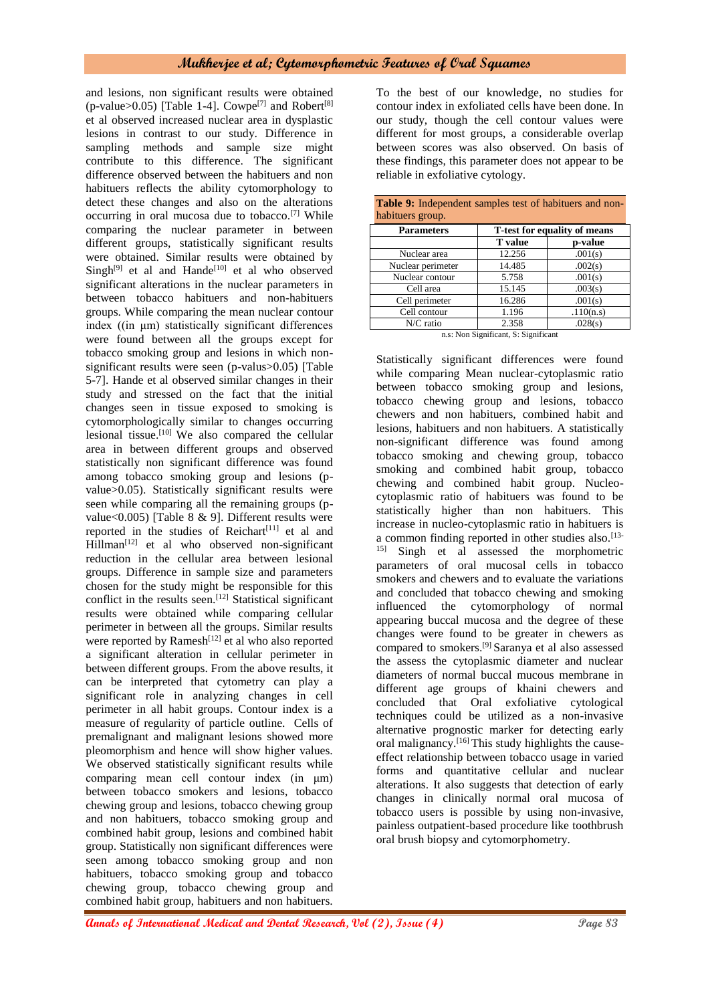and lesions, non significant results were obtained (p-value>0.05) [Table 1-4]. Cowpe<sup>[7]</sup> and Robert<sup>[8]</sup> et al observed increased nuclear area in dysplastic lesions in contrast to our study. Difference in sampling methods and sample size might contribute to this difference. The significant difference observed between the habituers and non habituers reflects the ability cytomorphology to detect these changes and also on the alterations occurring in oral mucosa due to tobacco.[7] While comparing the nuclear parameter in between different groups, statistically significant results were obtained. Similar results were obtained by Singh<sup>[9]</sup> et al and Hande<sup>[10]</sup> et al who observed significant alterations in the nuclear parameters in between tobacco habituers and non-habituers groups. While comparing the mean nuclear contour index ((in μm) statistically significant differences were found between all the groups except for tobacco smoking group and lesions in which nonsignificant results were seen (p-valus>0.05) [Table 5-7]. Hande et al observed similar changes in their study and stressed on the fact that the initial changes seen in tissue exposed to smoking is cytomorphologically similar to changes occurring lesional tissue.[10] We also compared the cellular area in between different groups and observed statistically non significant difference was found among tobacco smoking group and lesions (pvalue>0.05). Statistically significant results were seen while comparing all the remaining groups (pvalue<0.005) [Table 8 & 9]. Different results were reported in the studies of  $Reichart^{[11]}$  et al and Hillman<sup>[12]</sup> et al who observed non-significant reduction in the cellular area between lesional groups. Difference in sample size and parameters chosen for the study might be responsible for this conflict in the results seen.[12] Statistical significant results were obtained while comparing cellular perimeter in between all the groups. Similar results were reported by  $Ramesh<sup>[12]</sup>$  et al who also reported a significant alteration in cellular perimeter in between different groups. From the above results, it can be interpreted that cytometry can play a significant role in analyzing changes in cell perimeter in all habit groups. Contour index is a measure of regularity of particle outline. Cells of premalignant and malignant lesions showed more pleomorphism and hence will show higher values. We observed statistically significant results while comparing mean cell contour index (in μm) between tobacco smokers and lesions, tobacco chewing group and lesions, tobacco chewing group and non habituers, tobacco smoking group and combined habit group, lesions and combined habit group. Statistically non significant differences were seen among tobacco smoking group and non habituers, tobacco smoking group and tobacco chewing group, tobacco chewing group and combined habit group, habituers and non habituers.

To the best of our knowledge, no studies for contour index in exfoliated cells have been done. In our study, though the cell contour values were different for most groups, a considerable overlap between scores was also observed. On basis of these findings, this parameter does not appear to be reliable in exfoliative cytology.

| habituers group.                                  |                                                                                                                                       |           |  |
|---------------------------------------------------|---------------------------------------------------------------------------------------------------------------------------------------|-----------|--|
| T-test for equality of means<br><b>Parameters</b> |                                                                                                                                       |           |  |
|                                                   | <b>T</b> value                                                                                                                        | p-value   |  |
| Nuclear area                                      | 12.256                                                                                                                                | .001(s)   |  |
| Nuclear perimeter                                 | 14.485                                                                                                                                | .002(s)   |  |
| Nuclear contour                                   | 5.758                                                                                                                                 | .001(s)   |  |
| Cell area                                         | 15.145                                                                                                                                | .003(s)   |  |
| Cell perimeter                                    | 16.286                                                                                                                                | .001(s)   |  |
| Cell contour                                      | 1.196                                                                                                                                 | .110(n.s) |  |
| N/C ratio                                         | 2.358                                                                                                                                 | .028(s)   |  |
|                                                   | $\mathbf{r}$ , and $\mathbf{r}$ and $\mathbf{r}$ and $\mathbf{r}$ and $\mathbf{r}$ and $\mathbf{r}$ and $\mathbf{r}$ and $\mathbf{r}$ |           |  |

|                  | <b>Table 9:</b> Independent samples test of habituers and non- |                                                                  |  |  |
|------------------|----------------------------------------------------------------|------------------------------------------------------------------|--|--|
| habituers group. |                                                                |                                                                  |  |  |
|                  |                                                                | $\mathbf{r}$ $\mathbf{r}$ $\mathbf{r}$ $\mathbf{r}$ $\mathbf{r}$ |  |  |

n.s: Non Significant, S: Significant

Statistically significant differences were found while comparing Mean nuclear-cytoplasmic ratio between tobacco smoking group and lesions, tobacco chewing group and lesions, tobacco chewers and non habituers, combined habit and lesions, habituers and non habituers. A statistically non-significant difference was found among tobacco smoking and chewing group, tobacco smoking and combined habit group, tobacco chewing and combined habit group. Nucleocytoplasmic ratio of habituers was found to be statistically higher than non habituers. This increase in nucleo-cytoplasmic ratio in habituers is a common finding reported in other studies also.<sup>[13-</sup> <sup>15]</sup> Singh et al assessed the morphometric parameters of oral mucosal cells in tobacco smokers and chewers and to evaluate the variations and concluded that tobacco chewing and smoking influenced the cytomorphology of normal appearing buccal mucosa and the degree of these changes were found to be greater in chewers as compared to smokers.[9] Saranya et al also assessed the assess the cytoplasmic diameter and nuclear diameters of normal buccal mucous membrane in different age groups of khaini chewers and concluded that Oral exfoliative cytological techniques could be utilized as a non-invasive alternative prognostic marker for detecting early oral malignancy.<sup>[16]</sup> This study highlights the causeeffect relationship between tobacco usage in varied forms and quantitative cellular and nuclear alterations. It also suggests that detection of early changes in clinically normal oral mucosa of tobacco users is possible by using non-invasive, painless outpatient-based procedure like toothbrush oral brush biopsy and cytomorphometry.